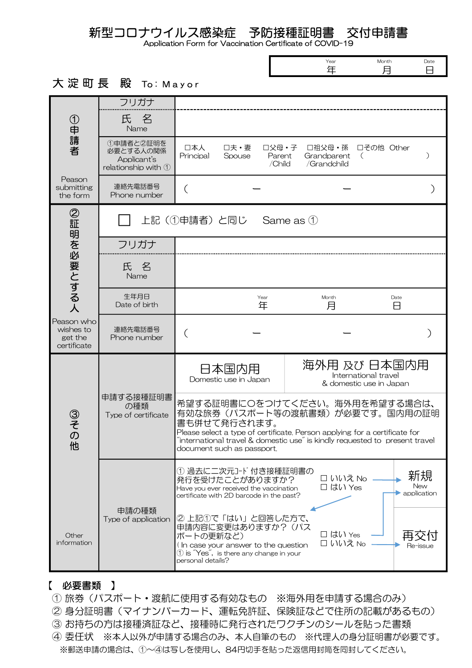新型コロナウイルス感染症 予防接種証明書 交付申請書

Application Form for Vaccination Certificate of COVID-19

| Year | Month | Date |
|------|-------|------|
|      |       |      |

## 大淀町長 殿 To: Mayor

|                                                   | フリガナ                                                         |                                                                                                                                                                                                                                                                             |                                                                 |  |  |
|---------------------------------------------------|--------------------------------------------------------------|-----------------------------------------------------------------------------------------------------------------------------------------------------------------------------------------------------------------------------------------------------------------------------|-----------------------------------------------------------------|--|--|
| ①申請者                                              | 氏名<br>Name                                                   |                                                                                                                                                                                                                                                                             |                                                                 |  |  |
| Peason<br>submitting<br>the form                  | 1申請者と2証明を<br>必要とする人の関係<br>Applicant's<br>relationship with 1 | 口本人<br>□夫・妻<br>□父母・子<br>Principal<br>Spouse<br>Parent<br>/Child                                                                                                                                                                                                             | □その他 Other<br>□祖父母・孫<br>Grandparent<br>$\left($<br>/Grandchild  |  |  |
|                                                   | 連絡先電話番号<br>Phone number                                      | (                                                                                                                                                                                                                                                                           |                                                                 |  |  |
|                                                   | 上記(①申請者)と同じ<br>Same as 1                                     |                                                                                                                                                                                                                                                                             |                                                                 |  |  |
|                                                   | フリガナ                                                         |                                                                                                                                                                                                                                                                             |                                                                 |  |  |
| ②証明を必要とする人                                        | 氏名<br>Name                                                   |                                                                                                                                                                                                                                                                             |                                                                 |  |  |
|                                                   | 生年月日<br>Date of birth                                        | Year<br>年                                                                                                                                                                                                                                                                   | Month<br>Date<br>月<br>8                                         |  |  |
| Peason who<br>wishes to<br>get the<br>certificate | 連絡先電話番号<br>Phone number                                      |                                                                                                                                                                                                                                                                             |                                                                 |  |  |
| ③その他                                              | 申請する接種証明書<br>の種類<br>Type of certificate                      | 日本国内用<br>Domestic use in Japan                                                                                                                                                                                                                                              | 海外用 及び 日本国内用<br>International travel<br>& domestic use in Japan |  |  |
|                                                   |                                                              | 希望する証明書に〇をつけてください。海外用を希望する場合は、<br>有効な旅券(パスポート等の渡航書類)が必要です。国内用の証明<br>書も併せて発行されます。<br>Please select a type of certificate. Person applying for a certificate for<br>"international travel & domestic use" is kindly requested to present travel<br>document such as passport. |                                                                 |  |  |
|                                                   |                                                              | 1 過去に二次元コード 付き接種証明書の<br>新規<br>□ いいえ No<br>発行を受けたことがありますか?<br>New<br>□ はい Yes<br>Have you ever received the vaccination<br>application<br>certificate with 2D barcode in the past?                                                                                           |                                                                 |  |  |
| Other<br>information                              | 申請の種類<br>Type of application                                 | ② 上記①で「はい」と回答した方で、<br>申請内容に変更はありますか? (パス<br>□ はい Yes<br>ポートの更新など)<br>□ いいえ No<br>(In case your answer to the question<br>Re-issue<br>$\textcircled{1}$ is $\textcircled{Y}$ es $\textcircled{1}$ , is there any change in your<br>personal details?                         |                                                                 |  |  |

## 【 必要書類 】

- ① 旅券(パスポート・渡航に使用する有効なもの ※海外用を申請する場合のみ)
- ② 身分証明書(マイナンバーカード、運転免許証、保険証などで住所の記載があるもの)
- ③ お持ちの方は接種済証など、接種時に発行されたワクチンのシールを貼った書類
- ④ 委任状 ※本人以外が申請する場合のみ、本人自筆のもの ※代理人の身分証明書が必要です。 ※郵送申請の場合は、①~④は写しを使用し、84円切手を貼った返信用封筒を同封してください。